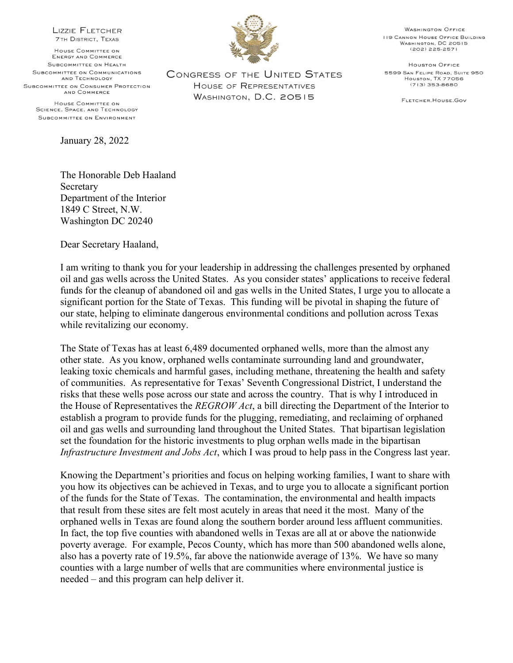**LIZZIE FLETCHER 7TH DISTRICT, TEXAS** 

HOUSE COMMITTEE ON **ENERGY AND COMMERCE** SUBCOMMITTEE ON HEALTH SUBCOMMITTEE ON COMMUNICATIONS AND TECHNOLOGY SUBCOMMITTEE ON CONSUMER PROTECTION AND COMMERCE

HOUSE COMMITTEE ON SCIENCE, SPACE, AND TECHNOLOGY SUBCOMMITTEE ON ENVIRONMENT

January 28, 2022

**CONGRESS OF THE UNITED STATES** HOUSE OF REPRESENTATIVES WASHINGTON, D.C. 20515

**WASHINGTON OFFICE 119 CANNON HOUSE OFFICE BUILDING** WASHINGTON, DC 20515  $(202)$  225-2571

**HOUSTON OFFICE** 5599 SAN FELIPE ROAD, SUITE 950 HOUSTON, TX 77056  $(713)$  353-8680

FLETCHER, HOUSE, GOV

The Honorable Deb Haaland Secretary Department of the Interior 1849 C Street, N.W. Washington DC 20240

Dear Secretary Haaland,

I am writing to thank you for your leadership in addressing the challenges presented by orphaned oil and gas wells across the United States. As you consider states' applications to receive federal funds for the cleanup of abandoned oil and gas wells in the United States, I urge you to allocate a significant portion for the State of Texas. This funding will be pivotal in shaping the future of our state, helping to eliminate dangerous environmental conditions and pollution across Texas while revitalizing our economy.

The State of Texas has at least 6,489 documented orphaned wells, more than the almost any other state. As you know, orphaned wells contaminate surrounding land and groundwater, leaking toxic chemicals and harmful gases, including methane, threatening the health and safety of communities. As representative for Texas' Seventh Congressional District, I understand the risks that these wells pose across our state and across the country. That is why I introduced in the House of Representatives the REGROW Act, a bill directing the Department of the Interior to establish a program to provide funds for the plugging, remediating, and reclaiming of orphaned oil and gas wells and surrounding land throughout the United States. That bipartisan legislation set the foundation for the historic investments to plug orphan wells made in the bipartisan Infrastructure Investment and Jobs Act, which I was proud to help pass in the Congress last year.

Knowing the Department's priorities and focus on helping working families, I want to share with you how its objectives can be achieved in Texas, and to urge you to allocate a significant portion of the funds for the State of Texas. The contamination, the environmental and health impacts that result from these sites are felt most acutely in areas that need it the most. Many of the orphaned wells in Texas are found along the southern border around less affluent communities. In fact, the top five counties with abandoned wells in Texas are all at or above the nationwide poverty average. For example, Pecos County, which has more than 500 abandoned wells alone, also has a poverty rate of 19.5%, far above the nationwide average of 13%. We have so many counties with a large number of wells that are communities where environmental justice is needed – and this program can help deliver it.